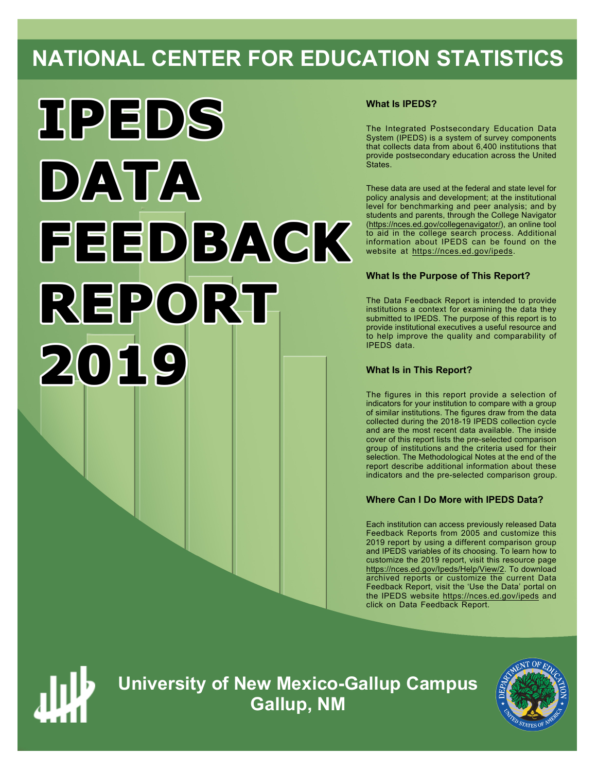# **NATIONAL CENTER FOR EDUCATION STATISTICS**



# **What Is IPEDS?**

The Integrated Postsecondary Education Data System (IPEDS) is a system of survey components that collects data from about 6,400 institutions that provide postsecondary education across the United States.

These data are used at the federal and state level for policy analysis and development; at the institutional level for benchmarking and peer analysis; and by students and parents, through the College Navigator ([https://nces.ed.gov/collegenavigator/\)](https://nces.ed.gov/collegenavigator/), an online tool to aid in the college search process. Additional information about IPEDS can be found on the website at<https://nces.ed.gov/ipeds>.

# **What Is the Purpose of This Report?**

The Data Feedback Report is intended to provide institutions a context for examining the data they submitted to IPEDS. The purpose of this report is to provide institutional executives a useful resource and to help improve the quality and comparability of IPEDS data.

# **What Is in This Report?**

The figures in this report provide a selection of indicators for your institution to compare with a group of similar institutions. The figures draw from the data collected during the 2018-19 IPEDS collection cycle and are the most recent data available. The inside cover of this report lists the pre-selected comparison group of institutions and the criteria used for their selection. The Methodological Notes at the end of the report describe additional information about these indicators and the pre-selected comparison group.

### **Where Can I Do More with IPEDS Data?**

Each institution can access previously released Data Feedback Reports from 2005 and customize this 2019 report by using a different comparison group and IPEDS variables of its choosing. To learn how to customize the 2019 report, visit this resource page <https://nces.ed.gov/Ipeds/Help/View/2>. To download archived reports or customize the current Data Feedback Report, visit the 'Use the Data' portal on the IPEDS website<https://nces.ed.gov/ipeds> and click on Data Feedback Report.



**University of New Mexico-Gallup Campus Gallup, NM**

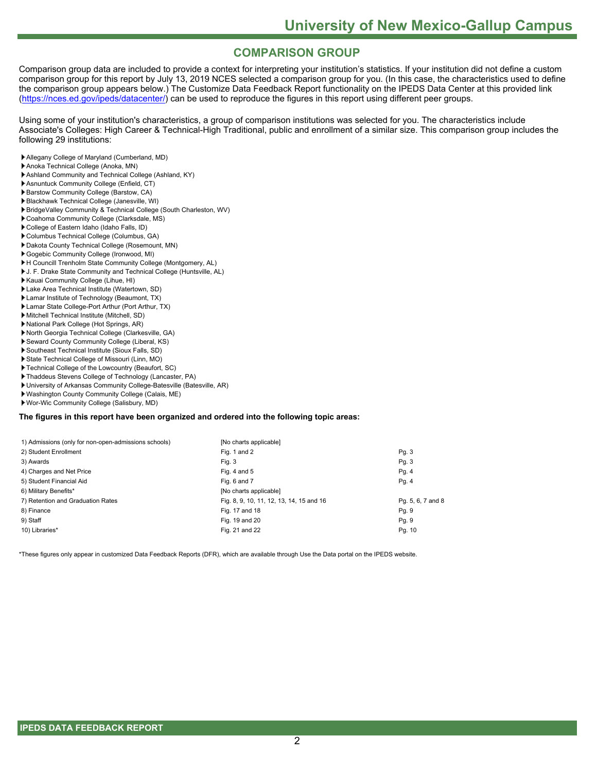# **COMPARISON GROUP**

Comparison group data are included to provide a context for interpreting your institution's statistics. If your institution did not define a custom comparison group for this report by July 13, 2019 NCES selected a comparison group for you. (In this case, the characteristics used to define the comparison group appears below.) The Customize Data Feedback Report functionality on the IPEDS Data Center at this provided link [\(https://nces.ed.gov/ipeds/datacenter/](https://nces.ed.gov/ipeds/datacenter/)) can be used to reproduce the figures in this report using different peer groups.

Using some of your institution's characteristics, a group of comparison institutions was selected for you. The characteristics include Associate's Colleges: High Career & Technical-High Traditional, public and enrollment of a similar size. This comparison group includes the following 29 institutions:

- Allegany College of Maryland (Cumberland, MD)
- Anoka Technical College (Anoka, MN)
- Ashland Community and Technical College (Ashland, KY)
- Asnuntuck Community College (Enfield, CT)
- Barstow Community College (Barstow, CA)
- Blackhawk Technical College (Janesville, WI)
- BridgeValley Community & Technical College (South Charleston, WV)
- Coahoma Community College (Clarksdale, MS)
- College of Eastern Idaho (Idaho Falls, ID)
- Columbus Technical College (Columbus, GA)
- Dakota County Technical College (Rosemount, MN)
- Gogebic Community College (Ironwood, MI)
- H Councill Trenholm State Community College (Montgomery, AL) J. F. Drake State Community and Technical College (Huntsville, AL)
- Kauai Community College (Lihue, HI)
- Lake Area Technical Institute (Watertown, SD)
- 
- Lamar Institute of Technology (Beaumont, TX) Lamar State College-Port Arthur (Port Arthur, TX)
- Mitchell Technical Institute (Mitchell, SD)
- National Park College (Hot Springs, AR)
- North Georgia Technical College (Clarkesville, GA)
- Seward County Community College (Liberal, KS)
- Southeast Technical Institute (Sioux Falls, SD)
- State Technical College of Missouri (Linn, MO)
- Technical College of the Lowcountry (Beaufort, SC)
- Thaddeus Stevens College of Technology (Lancaster, PA)
- University of Arkansas Community College-Batesville (Batesville, AR)
- Washington County Community College (Calais, ME)
- Wor-Wic Community College (Salisbury, MD)

#### **The figures in this report have been organized and ordered into the following topic areas:**

| 1) Admissions (only for non-open-admissions schools) | [No charts applicable]                   |                   |
|------------------------------------------------------|------------------------------------------|-------------------|
| 2) Student Enrollment                                | Fig. 1 and 2                             | Pg. 3             |
| 3) Awards                                            | Fig. 3                                   | Pg. 3             |
| 4) Charges and Net Price                             | Fig. 4 and $5$                           | Pg. 4             |
| 5) Student Financial Aid                             | Fig. 6 and 7                             | Pg. 4             |
| 6) Military Benefits*                                | [No charts applicable]                   |                   |
| 7) Retention and Graduation Rates                    | Fig. 8, 9, 10, 11, 12, 13, 14, 15 and 16 | Pg. 5, 6, 7 and 8 |
| 8) Finance                                           | Fig. 17 and 18                           | Pg. 9             |
| 9) Staff                                             | Fig. 19 and 20                           | Pg. 9             |
| 10) Libraries*                                       | Fig. 21 and 22                           | Pg. 10            |

\*These figures only appear in customized Data Feedback Reports (DFR), which are available through Use the Data portal on the IPEDS website.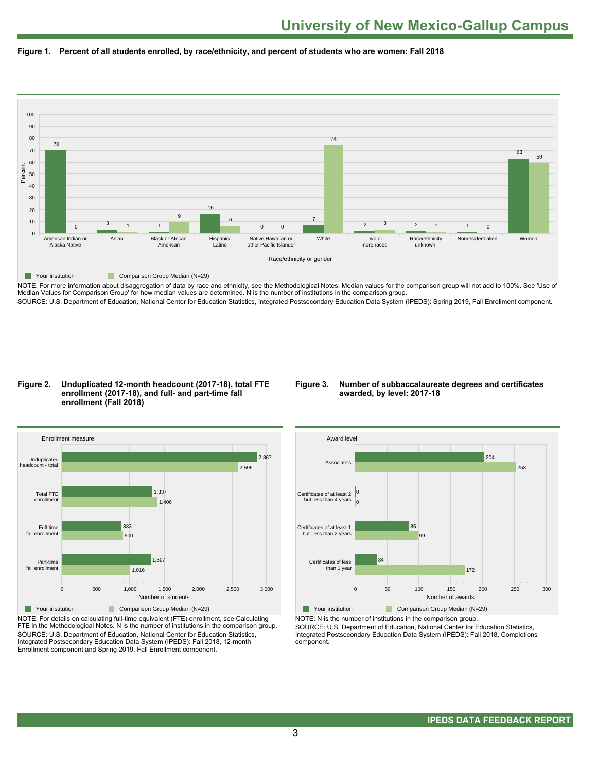



NOTE: For more information about disaggregation of data by race and ethnicity, see the Methodological Notes. Median values for the comparison group will not add to 100%. See 'Use of Median Values for Comparison Group' for how median values are determined. N is the number of institutions in the comparison group. SOURCE: U.S. Department of Education, National Center for Education Statistics, Integrated Postsecondary Education Data System (IPEDS): Spring 2019, Fall Enrollment component.

#### **Figure 2. Unduplicated 12-month headcount (2017-18), total FTE enrollment (2017-18), and full- and part-time fall enrollment (Fall 2018)**

#### **Figure 3. Number of subbaccalaureate degrees and certificates awarded, by level: 2017-18**



NOTE: For details on calculating full-time equivalent (FTE) enrollment, see Calculating FTE in the Methodological Notes. N is the number of institutions in the comparison group. SOURCE: U.S. Department of Education, National Center for Education Statistics, Integrated Postsecondary Education Data System (IPEDS): Fall 2018, 12-month Enrollment component and Spring 2019, Fall Enrollment component.



NOTE: N is the number of institutions in the comparison group.

SOURCE: U.S. Department of Education, National Center for Education Statistics, Integrated Postsecondary Education Data System (IPEDS): Fall 2018, Completions component.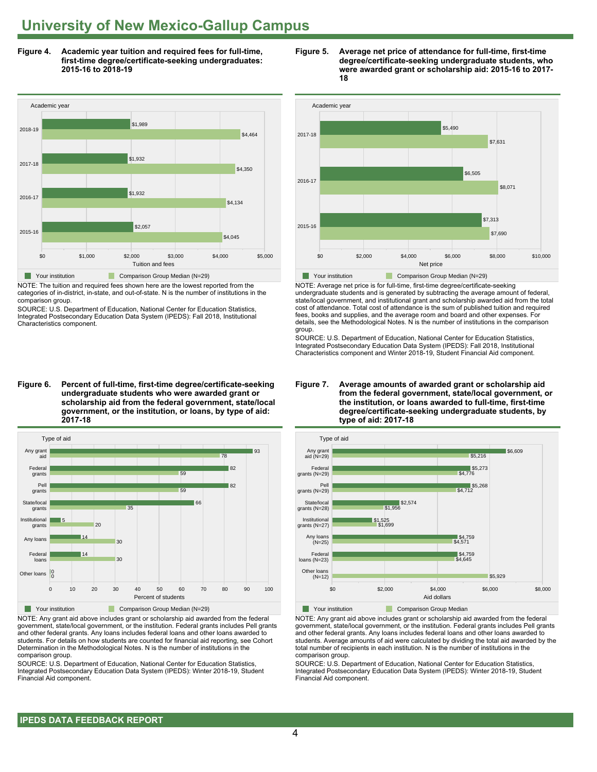**Figure 4. Academic year tuition and required fees for full-time, first-time degree/certificate-seeking undergraduates: 2015-16 to 2018-19**



NOTE: The tuition and required fees shown here are the lowest reported from the categories of in-district, in-state, and out-of-state. N is the number of institutions in the comparison group.

SOURCE: U.S. Department of Education, National Center for Education Statistics, Integrated Postsecondary Education Data System (IPEDS): Fall 2018, Institutional Characteristics component.

**Figure 6. Percent of full-time, first-time degree/certificate-seeking undergraduate students who were awarded grant or scholarship aid from the federal government, state/local government, or the institution, or loans, by type of aid: 2017-18**



NOTE: Any grant aid above includes grant or scholarship aid awarded from the federal government, state/local government, or the institution. Federal grants includes Pell grants and other federal grants. Any loans includes federal loans and other loans awarded to students. For details on how students are counted for financial aid reporting, see Cohort Determination in the Methodological Notes. N is the number of institutions in the comparison group.

SOURCE: U.S. Department of Education, National Center for Education Statistics, Integrated Postsecondary Education Data System (IPEDS): Winter 2018-19, Student Financial Aid component.





NOTE: Average net price is for full-time, first-time degree/certificate-seeking undergraduate students and is generated by subtracting the average amount of federal, state/local government, and institutional grant and scholarship awarded aid from the total cost of attendance. Total cost of attendance is the sum of published tuition and required fees, books and supplies, and the average room and board and other expenses. For details, see the Methodological Notes. N is the number of institutions in the comparison group.

SOURCE: U.S. Department of Education, National Center for Education Statistics, Integrated Postsecondary Education Data System (IPEDS): Fall 2018, Institutional Characteristics component and Winter 2018-19, Student Financial Aid component.





**The Your institution Comparison Group Median** 

NOTE: Any grant aid above includes grant or scholarship aid awarded from the federal government, state/local government, or the institution. Federal grants includes Pell grants and other federal grants. Any loans includes federal loans and other loans awarded to students. Average amounts of aid were calculated by dividing the total aid awarded by the total number of recipients in each institution. N is the number of institutions in the comparison group.

SOURCE: U.S. Department of Education, National Center for Education Statistics, Integrated Postsecondary Education Data System (IPEDS): Winter 2018-19, Student Financial Aid component.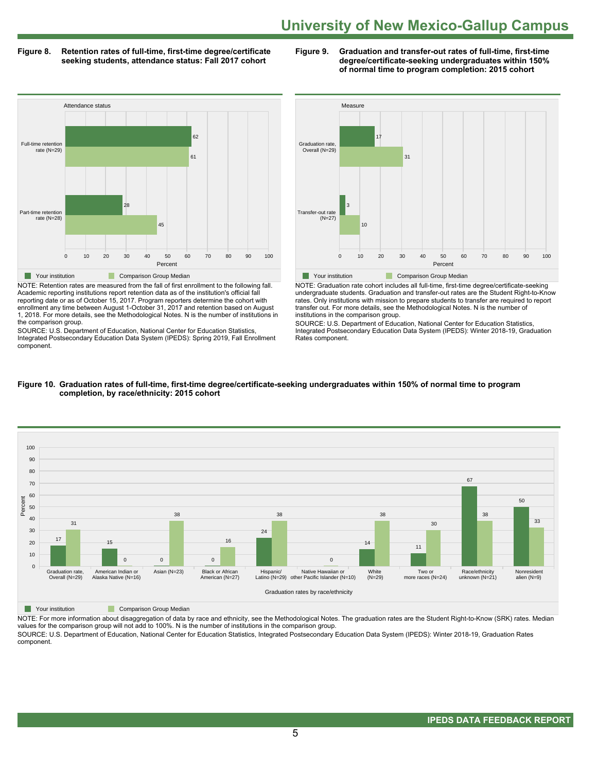#### **Figure 8. Retention rates of full-time, first-time degree/certificate seeking students, attendance status: Fall 2017 cohort**

**Figure 9. Graduation and transfer-out rates of full-time, first-time degree/certificate-seeking undergraduates within 150% of normal time to program completion: 2015 cohort**



NOTE: Retention rates are measured from the fall of first enrollment to the following fall. Academic reporting institutions report retention data as of the institution's official fall reporting date or as of October 15, 2017. Program reporters determine the cohort with enrollment any time between August 1-October 31, 2017 and retention based on August 1, 2018. For more details, see the Methodological Notes. N is the number of institutions in the comparison group.

SOURCE: U.S. Department of Education, National Center for Education Statistics, Integrated Postsecondary Education Data System (IPEDS): Spring 2019, Fall Enrollment component.



NOTE: Graduation rate cohort includes all full-time, first-time degree/certificate-seeking undergraduate students. Graduation and transfer-out rates are the Student Right-to-Know rates. Only institutions with mission to prepare students to transfer are required to report transfer out. For more details, see the Methodological Notes. N is the number of institutions in the comparison group.

SOURCE: U.S. Department of Education, National Center for Education Statistics, Integrated Postsecondary Education Data System (IPEDS): Winter 2018-19, Graduation Rates component.



#### **Figure 10. Graduation rates of full-time, first-time degree/certificate-seeking undergraduates within 150% of normal time to program completion, by race/ethnicity: 2015 cohort**

**The Comparison Group Median** 

NOTE: For more information about disaggregation of data by race and ethnicity, see the Methodological Notes. The graduation rates are the Student Right-to-Know (SRK) rates. Median values for the comparison group will not add to 100%. N is the number of institutions in the comparison group. SOURCE: U.S. Department of Education, National Center for Education Statistics, Integrated Postsecondary Education Data System (IPEDS): Winter 2018-19, Graduation Rates

component.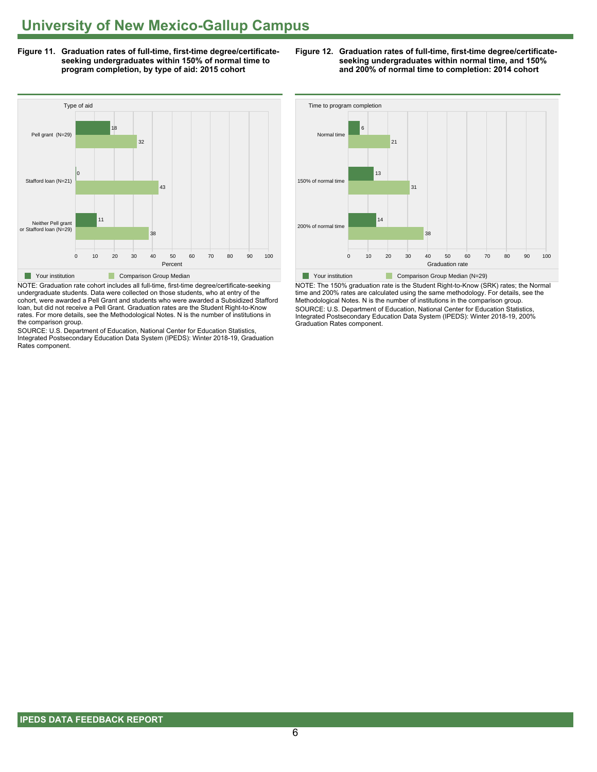**Figure 11. Graduation rates of full-time, first-time degree/certificateseeking undergraduates within 150% of normal time to program completion, by type of aid: 2015 cohort**



NOTE: Graduation rate cohort includes all full-time, first-time degree/certificate-seeking undergraduate students. Data were collected on those students, who at entry of the cohort, were awarded a Pell Grant and students who were awarded a Subsidized Stafford loan, but did not receive a Pell Grant. Graduation rates are the Student Right-to-Know rates. For more details, see the Methodological Notes. N is the number of institutions in the comparison group.

SOURCE: U.S. Department of Education, National Center for Education Statistics, Integrated Postsecondary Education Data System (IPEDS): Winter 2018-19, Graduation Rates component.





NOTE: The 150% graduation rate is the Student Right-to-Know (SRK) rates; the Normal time and 200% rates are calculated using the same methodology. For details, see the Methodological Notes. N is the number of institutions in the comparison group. SOURCE: U.S. Department of Education, National Center for Education Statistics, Integrated Postsecondary Education Data System (IPEDS): Winter 2018-19, 200% Graduation Rates component.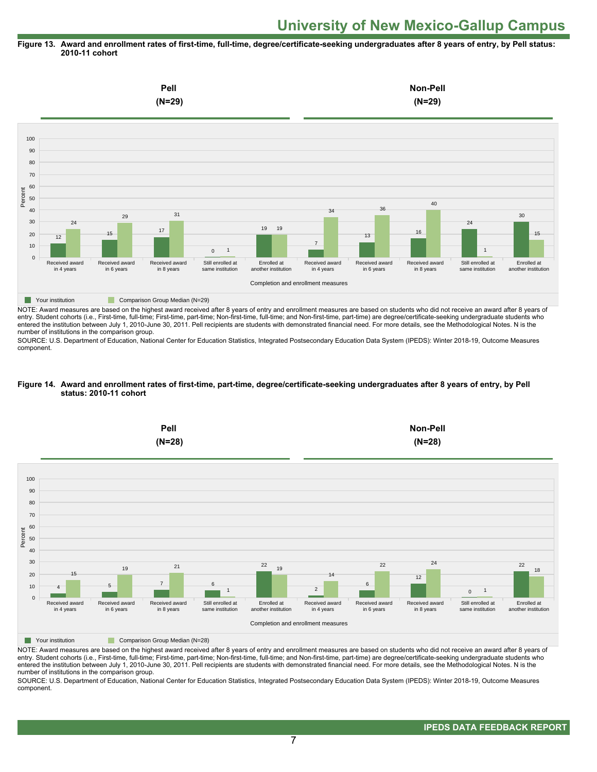#### **Figure 13. Award and enrollment rates of first-time, full-time, degree/certificate-seeking undergraduates after 8 years of entry, by Pell status: 2010-11 cohort**



NOTE: Award measures are based on the highest award received after 8 years of entry and enrollment measures are based on students who did not receive an award after 8 years of entry. Student cohorts (i.e., First-time, full-time; First-time, part-time; Non-first-time, full-time; and Non-first-time, part-time) are degree/certificate-seeking undergraduate students who entered the institution between July 1, 2010-June 30, 2011. Pell recipients are students with demonstrated financial need. For more details, see the Methodological Notes. N is the number of institutions in the comparison group.

SOURCE: U.S. Department of Education, National Center for Education Statistics, Integrated Postsecondary Education Data System (IPEDS): Winter 2018-19, Outcome Measures component.

#### **Figure 14. Award and enrollment rates of first-time, part-time, degree/certificate-seeking undergraduates after 8 years of entry, by Pell status: 2010-11 cohort**



NOTE: Award measures are based on the highest award received after 8 years of entry and enrollment measures are based on students who did not receive an award after 8 years of entry. Student cohorts (i.e., First-time, full-time; First-time, part-time; Non-first-time, full-time; and Non-first-time, part-time) are degree/certificate-seeking undergraduate students who entered the institution between July 1, 2010-June 30, 2011. Pell recipients are students with demonstrated financial need. For more details, see the Methodological Notes. N is the number of institutions in the comparison group.

SOURCE: U.S. Department of Education, National Center for Education Statistics, Integrated Postsecondary Education Data System (IPEDS): Winter 2018-19, Outcome Measures component.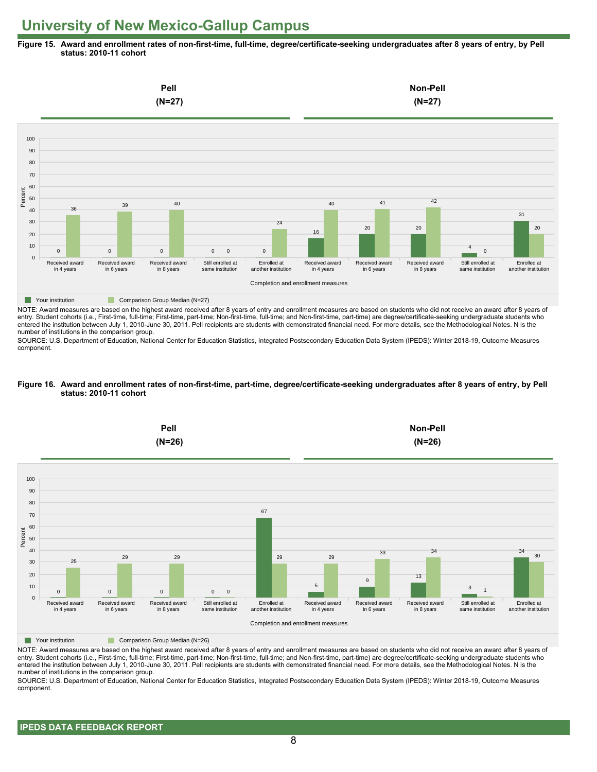**Figure 15. Award and enrollment rates of non-first-time, full-time, degree/certificate-seeking undergraduates after 8 years of entry, by Pell status: 2010-11 cohort**



NOTE: Award measures are based on the highest award received after 8 years of entry and enrollment measures are based on students who did not receive an award after 8 years of entry. Student cohorts (i.e., First-time, full-time; First-time, part-time; Non-first-time, full-time; and Non-first-time, part-time) are degree/certificate-seeking undergraduate students who entered the institution between July 1, 2010-June 30, 2011. Pell recipients are students with demonstrated financial need. For more details, see the Methodological Notes. N is the number of institutions in the comparison group.

SOURCE: U.S. Department of Education, National Center for Education Statistics, Integrated Postsecondary Education Data System (IPEDS): Winter 2018-19, Outcome Measures component.

#### **Figure 16. Award and enrollment rates of non-first-time, part-time, degree/certificate-seeking undergraduates after 8 years of entry, by Pell status: 2010-11 cohort**



NOTE: Award measures are based on the highest award received after 8 years of entry and enrollment measures are based on students who did not receive an award after 8 years of entry. Student cohorts (i.e., First-time, full-time; First-time, part-time; Non-first-time, full-time; and Non-first-time, part-time) are degree/certificate-seeking undergraduate students who entered the institution between July 1, 2010-June 30, 2011. Pell recipients are students with demonstrated financial need. For more details, see the Methodological Notes. N is the number of institutions in the comparison group.

SOURCE: U.S. Department of Education, National Center for Education Statistics, Integrated Postsecondary Education Data System (IPEDS): Winter 2018-19, Outcome Measures component.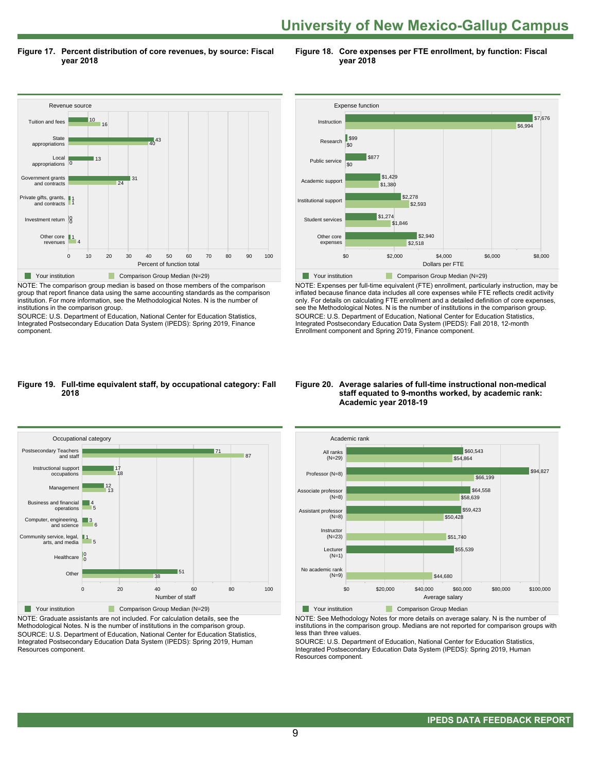**Figure 17. Percent distribution of core revenues, by source: Fiscal year 2018**

**Figure 18. Core expenses per FTE enrollment, by function: Fiscal year 2018**



NOTE: The comparison group median is based on those members of the comparison group that report finance data using the same accounting standards as the comparison institution. For more information, see the Methodological Notes. N is the number of institutions in the comparison group.

SOURCE: U.S. Department of Education, National Center for Education Statistics, Integrated Postsecondary Education Data System (IPEDS): Spring 2019, Finance component.



NOTE: Expenses per full-time equivalent (FTE) enrollment, particularly instruction, may be inflated because finance data includes all core expenses while FTE reflects credit activity only. For details on calculating FTE enrollment and a detailed definition of core expenses, see the Methodological Notes. N is the number of institutions in the comparison group. SOURCE: U.S. Department of Education, National Center for Education Statistics, Integrated Postsecondary Education Data System (IPEDS): Fall 2018, 12-month Enrollment component and Spring 2019, Finance component.

#### **Figure 19. Full-time equivalent staff, by occupational category: Fall 2018**



NOTE: Graduate assistants are not included. For calculation details, see the Methodological Notes. N is the number of institutions in the comparison group. SOURCE: U.S. Department of Education, National Center for Education Statistics, Integrated Postsecondary Education Data System (IPEDS): Spring 2019, Human Resources component.

#### **Figure 20. Average salaries of full-time instructional non-medical staff equated to 9-months worked, by academic rank: Academic year 2018-19**



NOTE: See Methodology Notes for more details on average salary. N is the number of institutions in the comparison group. Medians are not reported for comparison groups with less than three values.

SOURCE: U.S. Department of Education, National Center for Education Statistics, Integrated Postsecondary Education Data System (IPEDS): Spring 2019, Human Resources component.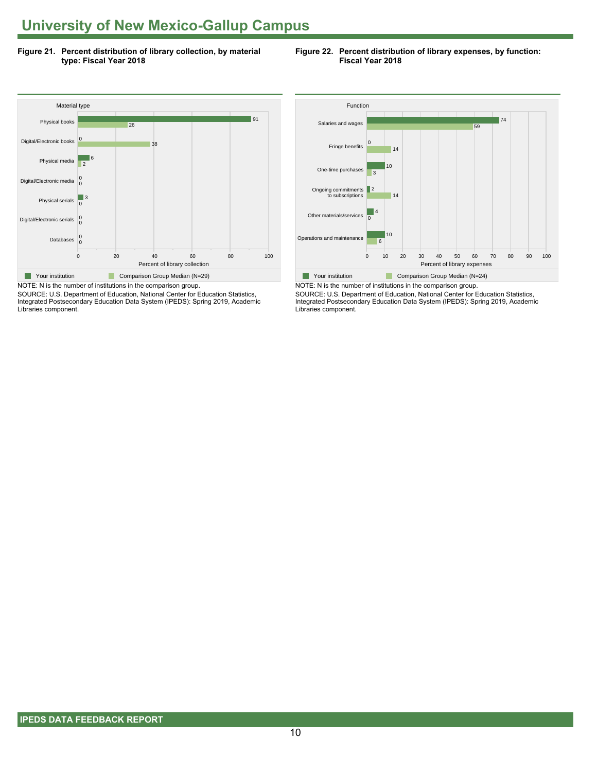**Figure 21. Percent distribution of library collection, by material type: Fiscal Year 2018**

**Figure 22. Percent distribution of library expenses, by function: Fiscal Year 2018**



SOURCE: U.S. Department of Education, National Center for Education Statistics, Integrated Postsecondary Education Data System (IPEDS): Spring 2019, Academic Libraries component.



NOTE: N is the number of institutions in the comparison group. SOURCE: U.S. Department of Education, National Center for Education Statistics, Integrated Postsecondary Education Data System (IPEDS): Spring 2019, Academic Libraries component.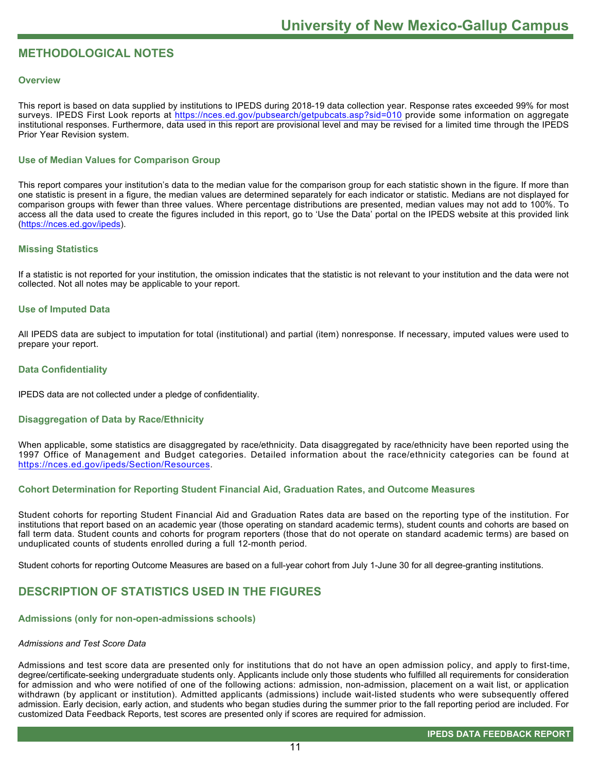# **METHODOLOGICAL NOTES**

#### **Overview**

This report is based on data supplied by institutions to IPEDS during 2018-19 data collection year. Response rates exceeded 99% for most surveys. IPEDS First Look reports at<https://nces.ed.gov/pubsearch/getpubcats.asp?sid=010> provide some information on aggregate institutional responses. Furthermore, data used in this report are provisional level and may be revised for a limited time through the IPEDS Prior Year Revision system.

### **Use of Median Values for Comparison Group**

This report compares your institution's data to the median value for the comparison group for each statistic shown in the figure. If more than one statistic is present in a figure, the median values are determined separately for each indicator or statistic. Medians are not displayed for comparison groups with fewer than three values. Where percentage distributions are presented, median values may not add to 100%. To access all the data used to create the figures included in this report, go to 'Use the Data' portal on the IPEDS website at this provided link ([https://nces.ed.gov/ipeds\)](https://nces.ed.gov/ipeds).

#### **Missing Statistics**

If a statistic is not reported for your institution, the omission indicates that the statistic is not relevant to your institution and the data were not collected. Not all notes may be applicable to your report.

#### **Use of Imputed Data**

All IPEDS data are subject to imputation for total (institutional) and partial (item) nonresponse. If necessary, imputed values were used to prepare your report.

#### **Data Confidentiality**

IPEDS data are not collected under a pledge of confidentiality.

#### **Disaggregation of Data by Race/Ethnicity**

When applicable, some statistics are disaggregated by race/ethnicity. Data disaggregated by race/ethnicity have been reported using the 1997 Office of Management and Budget categories. Detailed information about the race/ethnicity categories can be found at <https://nces.ed.gov/ipeds/Section/Resources>.

### **Cohort Determination for Reporting Student Financial Aid, Graduation Rates, and Outcome Measures**

Student cohorts for reporting Student Financial Aid and Graduation Rates data are based on the reporting type of the institution. For institutions that report based on an academic year (those operating on standard academic terms), student counts and cohorts are based on fall term data. Student counts and cohorts for program reporters (those that do not operate on standard academic terms) are based on unduplicated counts of students enrolled during a full 12-month period.

Student cohorts for reporting Outcome Measures are based on a full-year cohort from July 1-June 30 for all degree-granting institutions.

# **DESCRIPTION OF STATISTICS USED IN THE FIGURES**

#### **Admissions (only for non-open-admissions schools)**

#### *Admissions and Test Score Data*

Admissions and test score data are presented only for institutions that do not have an open admission policy, and apply to first-time, degree/certificate-seeking undergraduate students only. Applicants include only those students who fulfilled all requirements for consideration for admission and who were notified of one of the following actions: admission, non-admission, placement on a wait list, or application withdrawn (by applicant or institution). Admitted applicants (admissions) include wait-listed students who were subsequently offered admission. Early decision, early action, and students who began studies during the summer prior to the fall reporting period are included. For customized Data Feedback Reports, test scores are presented only if scores are required for admission.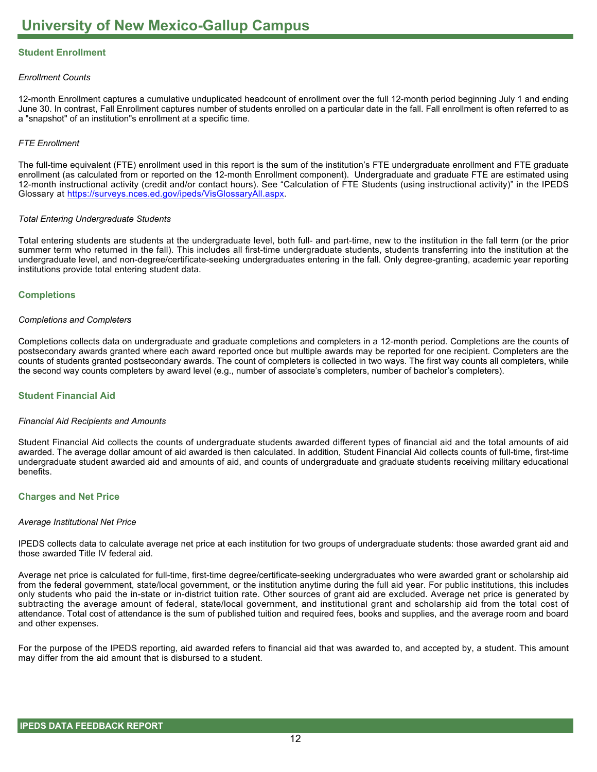# **Student Enrollment**

#### *Enrollment Counts*

12-month Enrollment captures a cumulative unduplicated headcount of enrollment over the full 12-month period beginning July 1 and ending June 30. In contrast, Fall Enrollment captures number of students enrolled on a particular date in the fall. Fall enrollment is often referred to as a "snapshot" of an institution"s enrollment at a specific time.

#### *FTE Enrollment*

The full-time equivalent (FTE) enrollment used in this report is the sum of the institution's FTE undergraduate enrollment and FTE graduate enrollment (as calculated from or reported on the 12-month Enrollment component). Undergraduate and graduate FTE are estimated using 12-month instructional activity (credit and/or contact hours). See "Calculation of FTE Students (using instructional activity)" in the IPEDS Glossary at <https://surveys.nces.ed.gov/ipeds/VisGlossaryAll.aspx>.

#### *Total Entering Undergraduate Students*

Total entering students are students at the undergraduate level, both full- and part-time, new to the institution in the fall term (or the prior summer term who returned in the fall). This includes all first-time undergraduate students, students transferring into the institution at the undergraduate level, and non-degree/certificate-seeking undergraduates entering in the fall. Only degree-granting, academic year reporting institutions provide total entering student data.

#### **Completions**

#### *Completions and Completers*

Completions collects data on undergraduate and graduate completions and completers in a 12-month period. Completions are the counts of postsecondary awards granted where each award reported once but multiple awards may be reported for one recipient. Completers are the counts of students granted postsecondary awards. The count of completers is collected in two ways. The first way counts all completers, while the second way counts completers by award level (e.g., number of associate's completers, number of bachelor's completers).

#### **Student Financial Aid**

#### *Financial Aid Recipients and Amounts*

Student Financial Aid collects the counts of undergraduate students awarded different types of financial aid and the total amounts of aid awarded. The average dollar amount of aid awarded is then calculated. In addition, Student Financial Aid collects counts of full-time, first-time undergraduate student awarded aid and amounts of aid, and counts of undergraduate and graduate students receiving military educational benefits.

#### **Charges and Net Price**

#### *Average Institutional Net Price*

IPEDS collects data to calculate average net price at each institution for two groups of undergraduate students: those awarded grant aid and those awarded Title IV federal aid.

Average net price is calculated for full-time, first-time degree/certificate-seeking undergraduates who were awarded grant or scholarship aid from the federal government, state/local government, or the institution anytime during the full aid year. For public institutions, this includes only students who paid the in-state or in-district tuition rate. Other sources of grant aid are excluded. Average net price is generated by subtracting the average amount of federal, state/local government, and institutional grant and scholarship aid from the total cost of attendance. Total cost of attendance is the sum of published tuition and required fees, books and supplies, and the average room and board and other expenses.

For the purpose of the IPEDS reporting, aid awarded refers to financial aid that was awarded to, and accepted by, a student. This amount may differ from the aid amount that is disbursed to a student.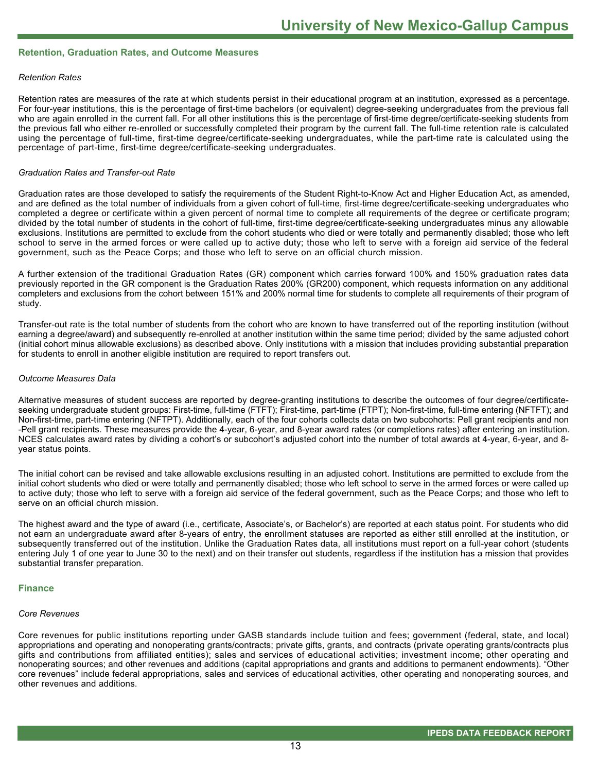#### **Retention, Graduation Rates, and Outcome Measures**

#### *Retention Rates*

Retention rates are measures of the rate at which students persist in their educational program at an institution, expressed as a percentage. For four-year institutions, this is the percentage of first-time bachelors (or equivalent) degree-seeking undergraduates from the previous fall who are again enrolled in the current fall. For all other institutions this is the percentage of first-time degree/certificate-seeking students from the previous fall who either re-enrolled or successfully completed their program by the current fall. The full-time retention rate is calculated using the percentage of full-time, first-time degree/certificate-seeking undergraduates, while the part-time rate is calculated using the percentage of part-time, first-time degree/certificate-seeking undergraduates.

#### *Graduation Rates and Transfer-out Rate*

Graduation rates are those developed to satisfy the requirements of the Student Right-to-Know Act and Higher Education Act, as amended, and are defined as the total number of individuals from a given cohort of full-time, first-time degree/certificate-seeking undergraduates who completed a degree or certificate within a given percent of normal time to complete all requirements of the degree or certificate program; divided by the total number of students in the cohort of full-time, first-time degree/certificate-seeking undergraduates minus any allowable exclusions. Institutions are permitted to exclude from the cohort students who died or were totally and permanently disabled; those who left school to serve in the armed forces or were called up to active duty; those who left to serve with a foreign aid service of the federal government, such as the Peace Corps; and those who left to serve on an official church mission.

A further extension of the traditional Graduation Rates (GR) component which carries forward 100% and 150% graduation rates data previously reported in the GR component is the Graduation Rates 200% (GR200) component, which requests information on any additional completers and exclusions from the cohort between 151% and 200% normal time for students to complete all requirements of their program of study.

Transfer-out rate is the total number of students from the cohort who are known to have transferred out of the reporting institution (without earning a degree/award) and subsequently re-enrolled at another institution within the same time period; divided by the same adjusted cohort (initial cohort minus allowable exclusions) as described above. Only institutions with a mission that includes providing substantial preparation for students to enroll in another eligible institution are required to report transfers out.

#### *Outcome Measures Data*

Alternative measures of student success are reported by degree-granting institutions to describe the outcomes of four degree/certificateseeking undergraduate student groups: First-time, full-time (FTFT); First-time, part-time (FTPT); Non-first-time, full-time entering (NFTFT); and Non-first-time, part-time entering (NFTPT). Additionally, each of the four cohorts collects data on two subcohorts: Pell grant recipients and non -Pell grant recipients. These measures provide the 4-year, 6-year, and 8-year award rates (or completions rates) after entering an institution. NCES calculates award rates by dividing a cohort's or subcohort's adjusted cohort into the number of total awards at 4-year, 6-year, and 8year status points.

The initial cohort can be revised and take allowable exclusions resulting in an adjusted cohort. Institutions are permitted to exclude from the initial cohort students who died or were totally and permanently disabled; those who left school to serve in the armed forces or were called up to active duty; those who left to serve with a foreign aid service of the federal government, such as the Peace Corps; and those who left to serve on an official church mission.

The highest award and the type of award (i.e., certificate, Associate's, or Bachelor's) are reported at each status point. For students who did not earn an undergraduate award after 8-years of entry, the enrollment statuses are reported as either still enrolled at the institution, or subsequently transferred out of the institution. Unlike the Graduation Rates data, all institutions must report on a full-year cohort (students entering July 1 of one year to June 30 to the next) and on their transfer out students, regardless if the institution has a mission that provides substantial transfer preparation.

#### **Finance**

#### *Core Revenues*

Core revenues for public institutions reporting under GASB standards include tuition and fees; government (federal, state, and local) appropriations and operating and nonoperating grants/contracts; private gifts, grants, and contracts (private operating grants/contracts plus gifts and contributions from affiliated entities); sales and services of educational activities; investment income; other operating and nonoperating sources; and other revenues and additions (capital appropriations and grants and additions to permanent endowments). "Other core revenues" include federal appropriations, sales and services of educational activities, other operating and nonoperating sources, and other revenues and additions.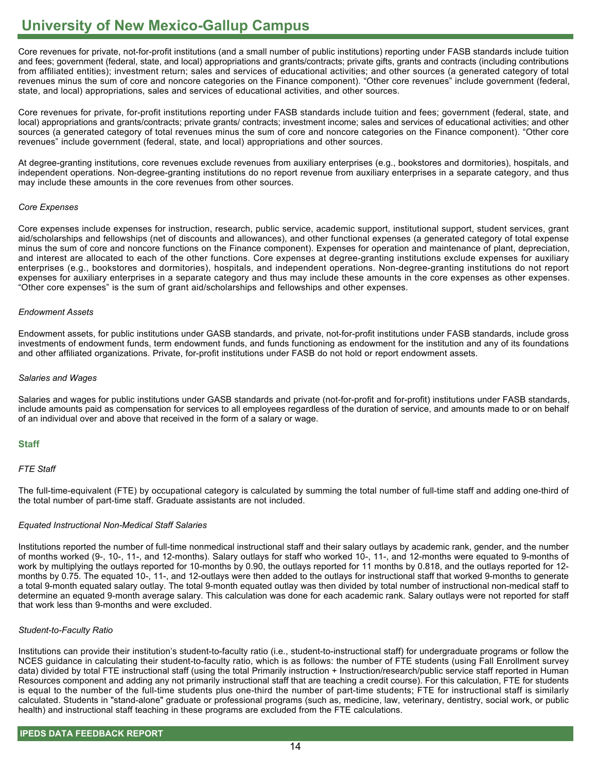Core revenues for private, not-for-profit institutions (and a small number of public institutions) reporting under FASB standards include tuition and fees; government (federal, state, and local) appropriations and grants/contracts; private gifts, grants and contracts (including contributions from affiliated entities); investment return; sales and services of educational activities; and other sources (a generated category of total revenues minus the sum of core and noncore categories on the Finance component). "Other core revenues" include government (federal, state, and local) appropriations, sales and services of educational activities, and other sources.

Core revenues for private, for-profit institutions reporting under FASB standards include tuition and fees; government (federal, state, and local) appropriations and grants/contracts; private grants/ contracts; investment income; sales and services of educational activities; and other sources (a generated category of total revenues minus the sum of core and noncore categories on the Finance component). "Other core revenues" include government (federal, state, and local) appropriations and other sources.

At degree-granting institutions, core revenues exclude revenues from auxiliary enterprises (e.g., bookstores and dormitories), hospitals, and independent operations. Non-degree-granting institutions do no report revenue from auxiliary enterprises in a separate category, and thus may include these amounts in the core revenues from other sources.

#### *Core Expenses*

Core expenses include expenses for instruction, research, public service, academic support, institutional support, student services, grant aid/scholarships and fellowships (net of discounts and allowances), and other functional expenses (a generated category of total expense minus the sum of core and noncore functions on the Finance component). Expenses for operation and maintenance of plant, depreciation, and interest are allocated to each of the other functions. Core expenses at degree-granting institutions exclude expenses for auxiliary enterprises (e.g., bookstores and dormitories), hospitals, and independent operations. Non-degree-granting institutions do not report expenses for auxiliary enterprises in a separate category and thus may include these amounts in the core expenses as other expenses. "Other core expenses" is the sum of grant aid/scholarships and fellowships and other expenses.

#### *Endowment Assets*

Endowment assets, for public institutions under GASB standards, and private, not-for-profit institutions under FASB standards, include gross investments of endowment funds, term endowment funds, and funds functioning as endowment for the institution and any of its foundations and other affiliated organizations. Private, for-profit institutions under FASB do not hold or report endowment assets.

#### *Salaries and Wages*

Salaries and wages for public institutions under GASB standards and private (not-for-profit and for-profit) institutions under FASB standards, include amounts paid as compensation for services to all employees regardless of the duration of service, and amounts made to or on behalf of an individual over and above that received in the form of a salary or wage.

### **Staff**

### *FTE Staff*

The full-time-equivalent (FTE) by occupational category is calculated by summing the total number of full-time staff and adding one-third of the total number of part-time staff. Graduate assistants are not included.

### *Equated Instructional Non-Medical Staff Salaries*

Institutions reported the number of full-time nonmedical instructional staff and their salary outlays by academic rank, gender, and the number of months worked (9-, 10-, 11-, and 12-months). Salary outlays for staff who worked 10-, 11-, and 12-months were equated to 9-months of work by multiplying the outlays reported for 10-months by 0.90, the outlays reported for 11 months by 0.818, and the outlays reported for 12 months by 0.75. The equated 10-, 11-, and 12-outlays were then added to the outlays for instructional staff that worked 9-months to generate a total 9-month equated salary outlay. The total 9-month equated outlay was then divided by total number of instructional non-medical staff to determine an equated 9-month average salary. This calculation was done for each academic rank. Salary outlays were not reported for staff that work less than 9-months and were excluded.

#### *Student-to-Faculty Ratio*

Institutions can provide their institution's student-to-faculty ratio (i.e., student-to-instructional staff) for undergraduate programs or follow the NCES guidance in calculating their student-to-faculty ratio, which is as follows: the number of FTE students (using Fall Enrollment survey data) divided by total FTE instructional staff (using the total Primarily instruction + Instruction/research/public service staff reported in Human Resources component and adding any not primarily instructional staff that are teaching a credit course). For this calculation, FTE for students is equal to the number of the full-time students plus one-third the number of part-time students; FTE for instructional staff is similarly calculated. Students in "stand-alone" graduate or professional programs (such as, medicine, law, veterinary, dentistry, social work, or public health) and instructional staff teaching in these programs are excluded from the FTE calculations.